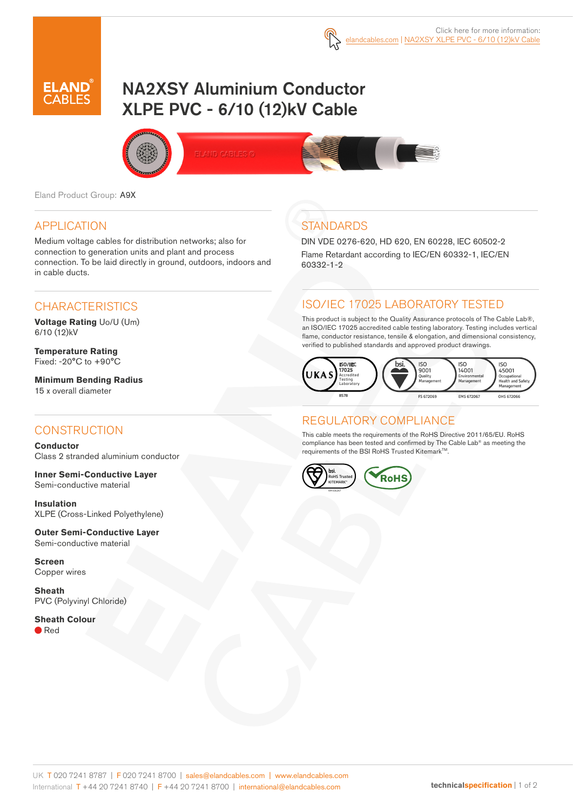

# NA2XSY Aluminium Conductor XLPE PVC - 6/10 (12)kV Cable



Eland Product Group: A9X

### APPLICATION

Medium voltage cables for distribution networks; also for connection to generation units and plant and process connection. To be laid directly in ground, outdoors, indoors and in cable ducts.

### **CHARACTERISTICS**

**Voltage Rating** Uo/U (Um) 6/10 (12)kV

**Temperature Rating** Fixed: -20°C to +90°C

**Minimum Bending Radius**  15 x overall diameter

#### **CONSTRUCTION**

**Conductor** Class 2 stranded aluminium conductor

**Inner Semi-Conductive Layer** Semi-conductive material

**Insulation** XLPE (Cross-Linked Polyethylene)

**Outer Semi-Conductive Layer**  Semi-conductive material

**Screen** Copper wires

**Sheath** PVC (Polyvinyl Chloride)

**Sheath Colour** ● Red

# **STANDARDS**

DIN VDE 0276-620, HD 620, EN 60228, IEC 60502-2 Flame Retardant according to IEC/EN 60332-1, IEC/EN 60332-1-2

## ISO/IEC 17025 LABORATORY TESTED

This product is subject to the Quality Assurance protocols of The Cable Lab®, an ISO/IEC 17025 accredited cable testing laboratory. Testing includes vertical flame, conductor resistance, tensile & elongation, and dimensional consistency, verified to published standards and approved product drawings.



# REGULATORY COMPLIANCE

This cable meets the requirements of the RoHS Directive 2011/65/EU. RoHS compliance has been tested and confirmed by The Cable Lab® as meeting the requirements of the BSI RoHS Trusted Kitemark™.